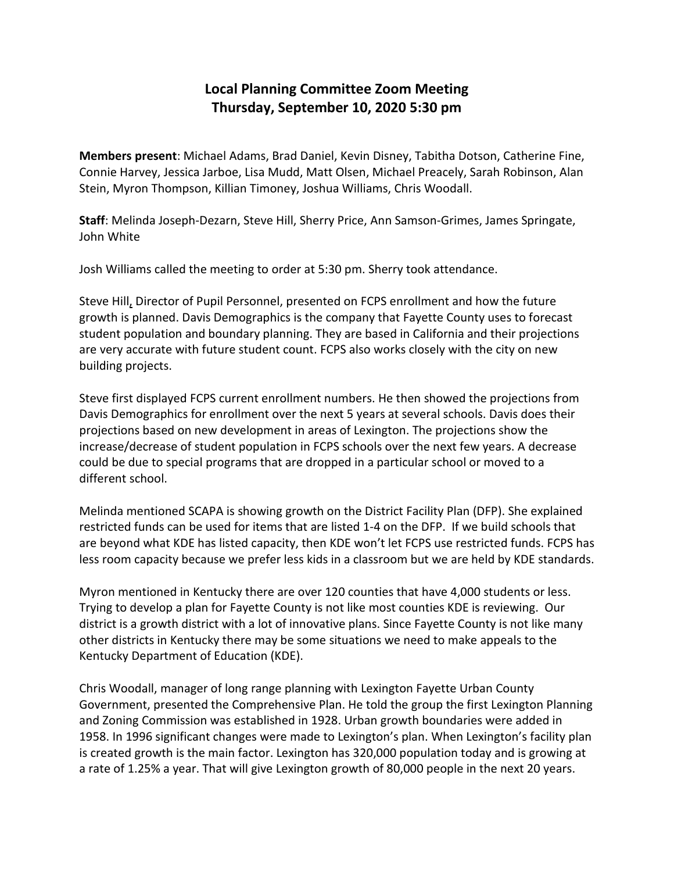## **Local Planning Committee Zoom Meeting Thursday, September 10, 2020 5:30 pm**

**Members present**: Michael Adams, Brad Daniel, Kevin Disney, Tabitha Dotson, Catherine Fine, Connie Harvey, Jessica Jarboe, Lisa Mudd, Matt Olsen, Michael Preacely, Sarah Robinson, Alan Stein, Myron Thompson, Killian Timoney, Joshua Williams, Chris Woodall.

**Staff**: Melinda Joseph-Dezarn, Steve Hill, Sherry Price, Ann Samson-Grimes, James Springate, John White

Josh Williams called the meeting to order at 5:30 pm. Sherry took attendance.

Steve Hill, Director of Pupil Personnel, presented on FCPS enrollment and how the future growth is planned. Davis Demographics is the company that Fayette County uses to forecast student population and boundary planning. They are based in California and their projections are very accurate with future student count. FCPS also works closely with the city on new building projects.

Steve first displayed FCPS current enrollment numbers. He then showed the projections from Davis Demographics for enrollment over the next 5 years at several schools. Davis does their projections based on new development in areas of Lexington. The projections show the increase/decrease of student population in FCPS schools over the next few years. A decrease could be due to special programs that are dropped in a particular school or moved to a different school.

Melinda mentioned SCAPA is showing growth on the District Facility Plan (DFP). She explained restricted funds can be used for items that are listed 1-4 on the DFP. If we build schools that are beyond what KDE has listed capacity, then KDE won't let FCPS use restricted funds. FCPS has less room capacity because we prefer less kids in a classroom but we are held by KDE standards.

Myron mentioned in Kentucky there are over 120 counties that have 4,000 students or less. Trying to develop a plan for Fayette County is not like most counties KDE is reviewing. Our district is a growth district with a lot of innovative plans. Since Fayette County is not like many other districts in Kentucky there may be some situations we need to make appeals to the Kentucky Department of Education (KDE).

Chris Woodall, manager of long range planning with Lexington Fayette Urban County Government, presented the Comprehensive Plan. He told the group the first Lexington Planning and Zoning Commission was established in 1928. Urban growth boundaries were added in 1958. In 1996 significant changes were made to Lexington's plan. When Lexington's facility plan is created growth is the main factor. Lexington has 320,000 population today and is growing at a rate of 1.25% a year. That will give Lexington growth of 80,000 people in the next 20 years.